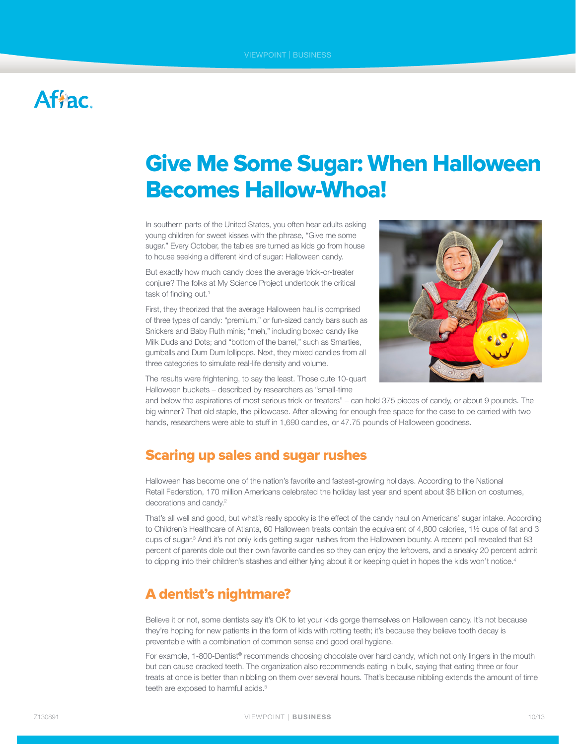## **Afiac**

# Give Me Some Sugar: When Halloween Becomes Hallow-Whoa!

In southern parts of the United States, you often hear adults asking young children for sweet kisses with the phrase, "Give me some sugar." Every October, the tables are turned as kids go from house to house seeking a different kind of sugar: Halloween candy.

But exactly how much candy does the average trick-or-treater conjure? The folks at My Science Project undertook the critical task of finding out.<sup>1</sup>

First, they theorized that the average Halloween haul is comprised of three types of candy: "premium," or fun-sized candy bars such as Snickers and Baby Ruth minis; "meh," including boxed candy like Milk Duds and Dots; and "bottom of the barrel," such as Smarties, gumballs and Dum Dum lollipops. Next, they mixed candies from all three categories to simulate real-life density and volume.



The results were frightening, to say the least. Those cute 10-quart Halloween buckets – described by researchers as "small-time

and below the aspirations of most serious trick-or-treaters" – can hold 375 pieces of candy, or about 9 pounds. The big winner? That old staple, the pillowcase. After allowing for enough free space for the case to be carried with two hands, researchers were able to stuff in 1,690 candies, or 47.75 pounds of Halloween goodness.

#### Scaring up sales and sugar rushes

Halloween has become one of the nation's favorite and fastest-growing holidays. According to the National Retail Federation, 170 million Americans celebrated the holiday last year and spent about \$8 billion on costumes, decorations and candy.<sup>2</sup>

That's all well and good, but what's really spooky is the effect of the candy haul on Americans' sugar intake. According to Children's Healthcare of Atlanta, 60 Halloween treats contain the equivalent of 4,800 calories, 1½ cups of fat and 3 cups of sugar.<sup>3</sup> And it's not only kids getting sugar rushes from the Halloween bounty. A recent poll revealed that 83 percent of parents dole out their own favorite candies so they can enjoy the leftovers, and a sneaky 20 percent admit to dipping into their children's stashes and either lying about it or keeping quiet in hopes the kids won't notice.<sup>4</sup>

### A dentist's nightmare?

Believe it or not, some dentists say it's OK to let your kids gorge themselves on Halloween candy. It's not because they're hoping for new patients in the form of kids with rotting teeth; it's because they believe tooth decay is preventable with a combination of common sense and good oral hygiene.

For example, 1-800-Dentist® recommends choosing chocolate over hard candy, which not only lingers in the mouth but can cause cracked teeth. The organization also recommends eating in bulk, saying that eating three or four treats at once is better than nibbling on them over several hours. That's because nibbling extends the amount of time teeth are exposed to harmful acids.<sup>5</sup>